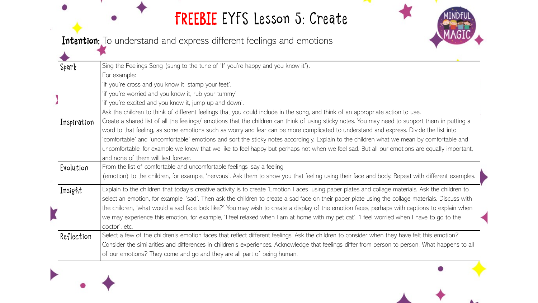# FREEBIE EYFS Lesson 5: Create



Intention: To understand and express different feelings and emotions

| Spark       | Sing the Feelings Song (sung to the tune of 'If you're happy and you know it').                                                                   |
|-------------|---------------------------------------------------------------------------------------------------------------------------------------------------|
|             | For example:                                                                                                                                      |
|             | 'if you're cross and you know it, stamp your feet'.                                                                                               |
|             | 'if you're worried and you know it, rub your tummy'                                                                                               |
|             | 'if you're excited and you know it, jump up and down'.                                                                                            |
|             | Ask the children to think of different feelings that you could include in the song, and think of an appropriate action to use.                    |
| Inspiration | Create a shared list of all the feelings/ emotions that the children can think of using sticky notes. You may need to support them in putting a   |
|             | word to that feeling, as some emotions such as worry and fear can be more complicated to understand and express. Divide the list into             |
|             | 'comfortable' and 'uncomfortable' emotions and sort the sticky notes accordingly. Explain to the children what we mean by comfortable and         |
|             | uncomfortable, for example we know that we like to feel happy but perhaps not when we feel sad. But all our emotions are equally important,       |
|             | and none of them will last forever.                                                                                                               |
| Evolution   | From the list of comfortable and uncomfortable feelings, say a feeling                                                                            |
|             | (emotion) to the children, for example, 'nervous'. Ask them to show you that feeling using their face and body. Repeat with different examples.   |
| Insight     | Explain to the children that today's creative activity is to create 'Emotion Faces' using paper plates and collage materials. Ask the children to |
|             | select an emotion, for example, 'sad'. Then ask the children to create a sad face on their paper plate using the collage materials. Discuss with  |
|             | the children, 'what would a sad face look like?' You may wish to create a display of the emotion faces, perhaps with captions to explain when     |
|             | we may experience this emotion, for example, 'I feel relaxed when I am at home with my pet cat'. 'I feel worried when I have to go to the         |
|             | doctor', etc.                                                                                                                                     |
| Reflection  | Select a few of the children's emotion faces that reflect different feelings. Ask the children to consider when they have felt this emotion?      |
|             | Consider the similarities and differences in children's experiences. Acknowledge that feelings differ from person to person. What happens to all  |
|             | of our emotions? They come and go and they are all part of being human.                                                                           |
|             |                                                                                                                                                   |



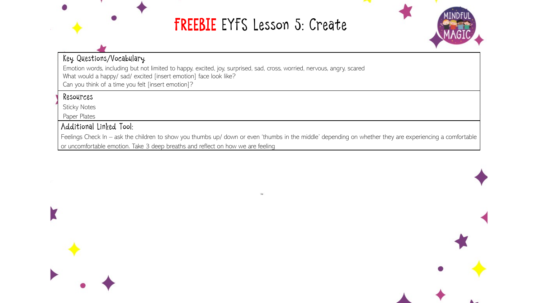# FREEBIE EYFS Lesson 5: Create



### Key Questions/Vocabulary

Emotion words, including but not limited to happy, excited, joy, surprised, sad, cross, worried, nervous, angry, scared What would a happy/ sad/ excited [insert emotion] face look like? Can you think of a time you felt [insert emotion]?

#### Resources

Sticky Notes

Paper Plates

### Additional Linked Tool:

Feelings Check In – ask the children to show you thumbs up/ down or even 'thumbs in the middle' depending on whether they are experiencing a comfortable or uncomfortable emotion. Take 3 deep breaths and reflect on how we are feeling



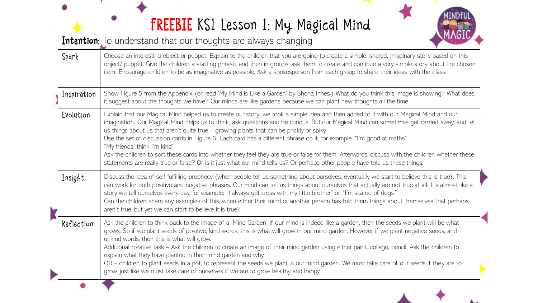# FREEBIE KS1 Lesson 1: My Magical Mind

Intention: To understand that our thoughts are always changing



 $\mathbf{A}$ 

| Spark       | Choose an interesting object or puppet. Explain to the children that you are going to create a simple, shared, imaginary story based on this<br>object/ puppet. Give the children a starting phrase, and then in groups, ask them to create and continue a very simple story about the chosen<br>item. Encourage children to be as imaginative as possible. Ask a spokesperson from each group to share their ideas with the class.                                                                                                                                                                                                                                                                                                                                                                                               |
|-------------|-----------------------------------------------------------------------------------------------------------------------------------------------------------------------------------------------------------------------------------------------------------------------------------------------------------------------------------------------------------------------------------------------------------------------------------------------------------------------------------------------------------------------------------------------------------------------------------------------------------------------------------------------------------------------------------------------------------------------------------------------------------------------------------------------------------------------------------|
| Inspiration | Show Figure 5 from the Appendix (or read 'My Mind is Like a Garden' by Shona Innes.) What do you think this image is showing? What does<br>it suggest about the thoughts we have? Our minds are like gardens because we can plant new thoughts all the time                                                                                                                                                                                                                                                                                                                                                                                                                                                                                                                                                                       |
| Evolution   | Explain that our Magical Mind helped us to create our story; we took a simple idea and then added to it with our Magical Mind and our<br>imagination. Our Magical Mind helps us to think, ask questions and be curious. But our Magical Mind can sometimes get carried away, and tell<br>us things about us that aren't quite true $-$ growing plants that can be prickly or spiky.<br>Use the set of discussion cards in Figure 6. Each card has a different phrase on it, for example. "I'm good at maths"<br>"My friends' think I'm kind"<br>Ask the children to sort these cards into whether they feel they are true or false for them. Afterwards, discuss with the children whether these<br>statements are really true or false? Or is it just what our mind tells us? Or perhaps other people have told us these things. |
| Insight     | Discuss the idea of self-fulfilling prophecy (when people tell us something about ourselves, eventually we start to believe this is true). This<br>can work for both positive and negative phrases. Our mind can tell us things about ourselves that actually are not true at all. It's almost like a<br>story we tell ourselves every day, for example; "I always get cross with my little brother" or, "I'm scared of dogs."<br>Can the children share any examples of this, when either their mind or another person has told them things about themselves that perhaps<br>aren't true, but yet we can start to believe it is true?                                                                                                                                                                                            |
| Reflection  | Ask the children to think back to the image of a 'Mind Garden' If our mind is indeed like a garden, then the seeds we plant will be what<br>grows. So if we plant seeds of positive, kind words, this is what will grow in our mind garden. However if we plant negative seeds, and<br>unkind words, then this is what will grow.<br>Additional creative task - Ask the children to create an image of their mind garden using either paint, collage, pencil. Ask the children to<br>explain what they have planted in their mind garden and why.<br>OR - children to plant seeds in a pot, to represent the seeds we plant in our mind garden. We must take care of our seeds if they are to<br>grow, just like we must take care of ourselves if we are to grow healthy and happy.                                              |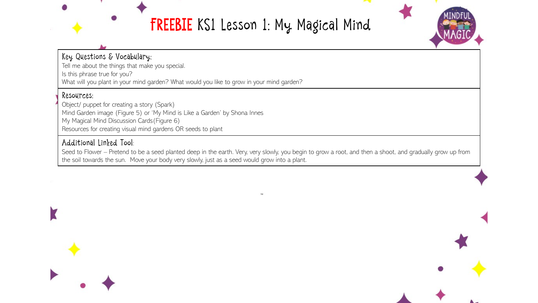## FREEBIE KS1 Lesson 1: My Magical Mind



### Key Questions & Vocabulary:

Tell me about the things that make you special. Is this phrase true for you?

What will you plant in your mind garden? What would you like to grow in your mind garden?

#### Resources:

Object/ puppet for creating a story (Spark) Mind Garden image (Figure 5) or 'My Mind is Like a Garden' by Shona Innes My Magical Mind Discussion Cards(Figure 6) Resources for creating visual mind gardens OR seeds to plant

### Additional Linked Tool:

Seed to Flower – Pretend to be a seed planted deep in the earth. Very, very slowly, you begin to grow a root, and then a shoot, and gradually grow up from the soil towards the sun. Move your body very slowly, just as a seed would grow into a plant.



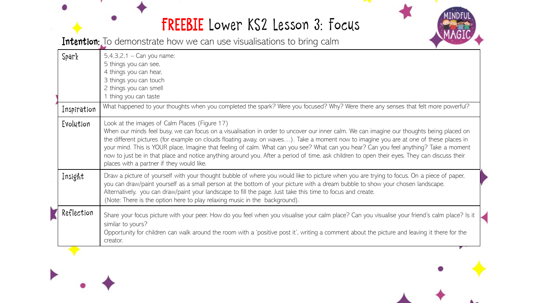## FREEBIE Lower KS2 Lesson 3: Focus



Intention: To demonstrate how we can use visualisations to bring calm

| Spark       | $5,4,3,2,1 - Can you name:$<br>5 things you can see,<br>4 things you can hear,<br>3 things you can touch<br>2 things you can smell<br>1 thing you can taste                                                                                                                                                                                                                                                                                                                                                                                                                                                                                                                 |
|-------------|-----------------------------------------------------------------------------------------------------------------------------------------------------------------------------------------------------------------------------------------------------------------------------------------------------------------------------------------------------------------------------------------------------------------------------------------------------------------------------------------------------------------------------------------------------------------------------------------------------------------------------------------------------------------------------|
| Inspiration | What happened to your thoughts when you completed the spark? Were you focused? Why? Were there any senses that felt more powerful?                                                                                                                                                                                                                                                                                                                                                                                                                                                                                                                                          |
| Evolution   | Look at the images of Calm Places (Figure 17)<br>When our minds feel busy, we can focus on a visualisation in order to uncover our inner calm. We can imagine our thoughts being placed on<br>the different pictures (for example on clouds floating away, on waves). Take a moment now to imagine you are at one of these places in<br>your mind. This is YOUR place, Imagine that feeling of calm. What can you see? What can you hear? Can you feel anything? Take a moment<br>now to just be in that place and notice anything around you. After a period of time, ask children to open their eyes. They can discuss their<br>places with a partner if they would like. |
| Insight     | Draw a picture of yourself with your thought bubble of where you would like to picture when you are trying to focus. On a piece of paper,<br>you can draw/paint yourself as a small person at the bottom of your picture with a dream bubble to show your chosen landscape.<br>Alternatively, you can draw/paint your landscape to fill the page. Just take this time to focus and create.<br>(Note: There is the option here to play relaxing music in the background).                                                                                                                                                                                                    |
| Reflection  | Share your focus picture with your peer. How do you feel when you visualise your calm place? Can you visualise your friend's calm place? Is it<br>similar to yours?<br>Opportunity for children can walk around the room with a 'positive post it', writing a comment about the picture and leaving it there for the<br>creator.                                                                                                                                                                                                                                                                                                                                            |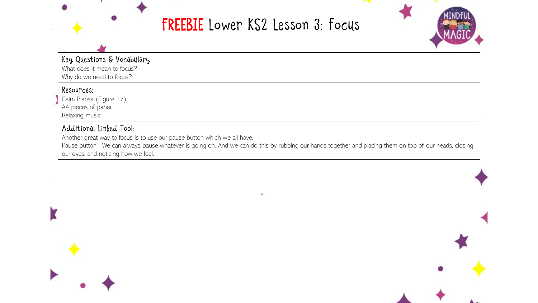### FREEBIE Lower KS2 Lesson 3: Focus



Key Questions & Vocabulary:

What does it mean to focus? Why do we need to focus?

#### Resources:

Calm Places (Figure 17)

A4 pieces of paper

Relaxing music

#### Additional Linked Tool:

Another great way to focus is to use our pause button which we all have.

Pause button - We can always pause whatever is going on. And we can do this by rubbing our hands together and placing them on top of our heads, closing our eyes, and noticing how we feel.



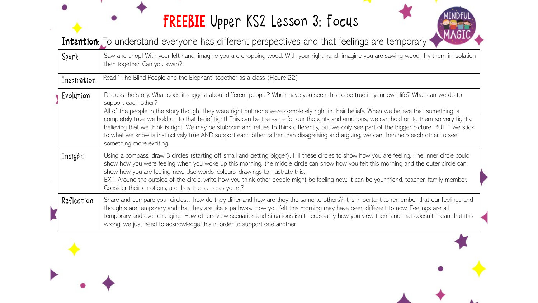# FREEBIE Upper KS2 Lesson 3: Focus



Intention: To understand everyone has different perspectives and that feelings are temporary

| Spark       | Saw and chop! With your left hand, imagine you are chopping wood. With your right hand, imagine you are sawing wood. Try them in isolation<br>then together. Can you swap?                                                                                                                                                                                                                                                                                                                                                                                                                                                                                                                                                                                                           |
|-------------|--------------------------------------------------------------------------------------------------------------------------------------------------------------------------------------------------------------------------------------------------------------------------------------------------------------------------------------------------------------------------------------------------------------------------------------------------------------------------------------------------------------------------------------------------------------------------------------------------------------------------------------------------------------------------------------------------------------------------------------------------------------------------------------|
| Inspiration | Read ' The Blind People and the Elephant' together as a class (Figure 22)                                                                                                                                                                                                                                                                                                                                                                                                                                                                                                                                                                                                                                                                                                            |
| Evolution   | Discuss the story. What does it suggest about different people? When have you seen this to be true in your own life? What can we do to<br>support each other?<br>All of the people in the story thought they were right but none were completely right in their beliefs. When we believe that something is<br>completely true, we hold on to that belief tight! This can be the same for our thoughts and emotions, we can hold on to them so very tightly,<br>believing that we think is right. We may be stubborn and refuse to think differently, but we only see part of the bigger picture. BUT if we stick<br>to what we know is instinctively true AND support each other rather than disagreeing and arguing, we can then help each other to see<br>something more exciting. |
| Insight     | Using a compass, draw 3 circles (starting off small and getting bigger). Fill these circles to show how you are feeling. The inner circle could<br>show how you were feeling when you woke up this morning, the middle circle can show how you felt this morning and the outer circle can<br>show how you are feeling now. Use words, colours, drawings to illustrate this.<br>EXT: Around the outside of the circle, write how you think other people might be feeling now. It can be your friend, teacher, family member.<br>Consider their emotions, are they the same as yours?                                                                                                                                                                                                  |
| Reflection  | Share and compare your circleshow do they differ and how are they the same to others? It is important to remember that our feelings and<br>thoughts are temporary and that they are like a pathway. How you felt this morning may have been different to now. Feelings are all<br>temporary and ever changing. How others view scenarios and situations isn't necessarily how you view them and that doesn't mean that it is<br>wrong, we just need to acknowledge this in order to support one another.                                                                                                                                                                                                                                                                             |